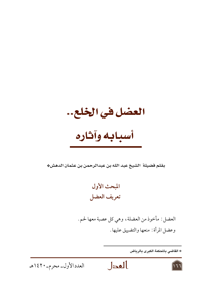العضل في الخلع..

# أسبابه وآثاره

بقلم فضيلة الشيخ عبد الله بن عبدالرحمن بن عثمان الدهش\*

## المبحث الأول تعريف العضل

العضل : مأخوذ من العضلة، وهي كل عصبة معها لحم . وعضل المرأة : منعها والتضييق عليها .

\* القاضى بالمحكمة الكبرى بالرياض





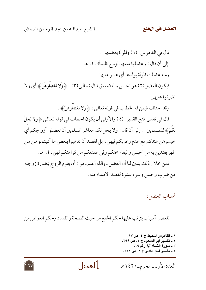قال في القاموس: (١) والمرأة يعضلها . . . إلى أن قال: وعضلها منعها الزوج ظلماً» . ١. هـ. ومنه عضلت المرأة بولدها أي عسر عليها . فيكون العضل(٢) هو الحبس والتضييق قال تعالى(٣): ﴿وَلا تَعْضُلُوهُنَّ ﴾ أي ولا تضيقوا عليهن. وقد اختلف فيمن له الخطاب في قوله تعالى : ﴿ وَلَا تَعْضُلُوهُنَّ ﴾ . قال في تفسير فتح القدير : (٤) والأولى أن يكون الخطاب في قوله تعالىي ﴿ وَلا يَحلُّ

لَكُمْ﴾ للمسلمين . . إلى أن قال : ولا يحل لكم معاشر المسلمين أن تعضلوا أزواجكم أي تحبسوهن عندكم مع عدم رغوبكم فيهن، بل لقصد أن تذهبوا ببعض ما أتيتموهن من المهر يفتدين به من الحبس والبقاء تحتكم وفي عقدتكم من كراهتكم لهن . ١. هـ.

فمن خلال ذلك يتبين لنا أن العضل ـ والله أعلم ـ هو : أن يقوم الزوج بمضارة زوجته من ضرب وحبس وسوء عشرة لقصد الافتداء منه .

#### أسباب العضل:

للعضل أسباب يترتب عليها حكم الخلع من حيث الصحة والفساد وحكم العوض من

- ١ ــ القاموس المحيط ج ٤، ص ١٧. ٢ \_ تفسير أبو السعود ج ١، ص ٢٩٩. ٣ ــ سورة النساء آية رقم ١٩. ٤ ــ تفسير فتح القدير ج ١، ص ٤٤١.
- بالعدل العدد الأول- محرم- ١٤٢٠هـ

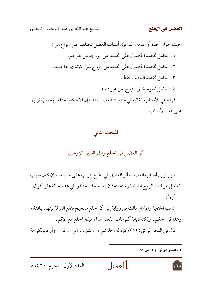حيث جواز أخذه أو عدمه ، لذا فإن أسباب العضل تختلف على أنواع هي : ١ ـ العضل لقصد الحصول على الفدية من الزوجة من غير مبرر . ٢ ـ العضل لقصد الحصول على الفدية من الزوج لمبرر كإتيانها بفاحشة . ٣ ـ العضل لقصد التأديب فقط . ٤ ـ العضل لسوء خلق الزوج من غير قصد . فهذه هي الأسباب الغالبة في حدوث العضل، لذا فإن الأحكام تختلف بحسب ترتبها على هذه الأسباب .

المبحث الثاني

### أثر العضل في الخلع والفرقة بين الزوجين

سبق تبيين أسباب العضل وأثر العضل في الخلع يترتب على سببه، فإن كان سبب العضل هو قصد الزوج افتداء زوجته منه فإن العلماء قد اختلفوا في هذه الحالة على أقوال : أو لأً:

ذهب الحنفية والإمام مالك في رواية إلى أن الخلع صحيح فتقع الفرقة بينهما بائنة، وهذا في الحكم، ولكنه ديانة أثم عاص بفعله هذا، فيقع الخلع مع الإثم.

قال في البحر الرائق : (٥) وكره له أخذ شيء ان نشز . . إلى أن قال : وأراد بالكراهة

ه ـ البحر الرائق ج ٤، ص ٨٢.

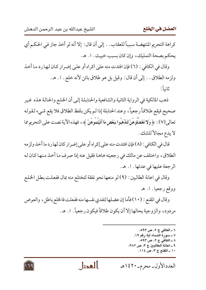كراهة التحريم المنتهضة سبباً للعقاب . . إلى أن قال : إلا أنه لو أخذ جاز في الحكم أي يحكم بصحة التمليك، وإن كان بسبب خبيث . ١. هـ.

وقال في الكافي : (٦) فإن افتدت منه على اكراه أو على إضرار كان لها رد ما أخذ ولزمه الطلاق . . إلى أن قال : وقيل بل هو طلاق بائن لأنه خلع . ا . هـ. ثانياً :

ذهب المالكية في الرواية الثانية والشافعية والحنابلة إلىي أن الخلع والحالة هذه غير صحيح فيقع طلاقاً رجعياً، وعند الحنابلة إذا لم يكن بلفظ الطلاق فلا يقع شيء لقوله تعالى(٧) : ﴿ وَلا تَعْضُلُوهُنَّ لتَذْهَبُوا بِبَعْضِ مَا آتَيْتُمُوهُنَّ ﴾، فهذه الآية نصت على التحريم مما لا يدع مجالاً للشك .

قال في الكافي : (٨) فإن افتدت منه على إكراه أو على إضرار كان لها رد ما أخذ ولزمه الطلاق، واختلف عن مالك في رجعيته هاهنا فقيل عنه إذا صرف ما أخذ منها كان له الرجعة عليها في عدتها . ا. هـ.

وقال في اعانة الطالبين : (٩) لو منعها نحو نفقة لتختلع منه بمال ففعلت بطل الخلع ووقع رجعيا. ا. هـ

وقال في المقنع : (١٠) فأما إن عضلها لتفدي نفسها منه ففعلت فالخلع باطل ، والعوض مردود، والزوجية بحالها إلا أن يكون طلاقاً فيكون رجعياً. ١. هـ.

- ٦ ــ الكافي ج ٢، ص ٩٩٣. ٧ ــ سورة النساء آية رقم ١٩. ۸ ــ الكافي ج ۲، ص ۹۹۳. ٩ ــ اعانة الطالبين ج ٣، ص ٣٨٢.
	- ١٠ ـ المقنع ج ٣، ص ١١٤.
- بالعدل العدد الأول- محرم-١٤٢٠هـ

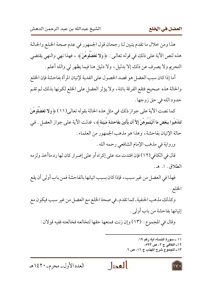هذا ومن خلال ما تقدم يتبين لنا رجحان قول الجمهور في عدم صحة الخلع والحالة هذه لنص الآية على ذلك في قوله تعالىي : ﴿ وَلا تَعْضُلُوهُنَّ ﴾ ، فهذا نهى والنهي يقتضي التحريم ولا يصرف عن ذلك إلا بدليل، ولا دليل هنا فيما يظهر لي والله أعلم .

أما إذا كان سبب العضل هو قصد الحصول على الفدية لإتيان المرأة بفاحشة فإن الخلع والحالة هذه صحيح فتقع الفرقة بائنة، ولا يؤثر العضل على الخلع لكونها بذلك لم تقم حدود الله في حق زوجها .

كما نصت الآية على جواز ذلك في مثل هذه الحالة بقوله تعالى(١١) ﴿وَلَا تَعْضُلُوهُنَّ لتَذْهَبُوا ببَعْض مَا آتَيْتُمُوهُنَّ إِلاَّ أَن يَأْتينَ بفَاحشَة مَّبَيّنَة ﴾ ، فدلت الآية على جواز العضل . في حالة الإتيان بفاحشة، وهذا هو مذهب الجمهور من العلماء .

ورواية في مذهب الإمام الشافعي رحمه الله .

قال في الكافي(١٢) فإن افتدت منه على إكراه أو على إضرار كان لها رد ماأخذ ولزمه الطلاق . ١. هـ.

فهذا في العضل من غير سبب، فإذا كان بسبب اتيانها بالفاحشة فمن باب أولى أن يقع الخلع.

وكذلك مذهب الحنفية ـ كما تقدم ـ في صحة الخلع مع العضل من غير سبب فيكون مع إتيانها بفاحشة من باب أولى .

وقال في المجموع: (١٣) وإن زنت فمنعها حقها لتخالعه فخالعته ففيه قولان :

بالعدل

- ١١ ــ سورة النساء آية رقم ١٩.
	- ١٢ـ الكافي ج ٢، ص ٩٩٣.
- ١٣- المجموع شرح المهذب ج ١٦، ص ٦.

العدد الأول- محرم-١٤٢٠هـ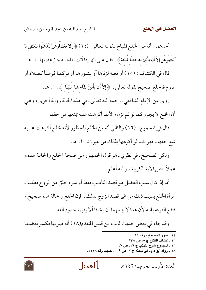أحدهما : أنه من الخلع المباح لقوله تعالى : (١٤) ﴿ وَلا تَعْضُلُوهُنَّ لتَذْهَبُوا بِبَعْضٍ مَا آتَيْتُمُوهُنَّ إِلاَّ أَن يَأْتينَ بفَاحشَة مُّبَيّنَة ﴾ . فدل على أنها إذا أتت بفاحشة جاز عضلها . ١. هـ. قال في الكشاف : (١٥) أو فعله لزناها أو نشوزها أو تركها فرضاً كصلاة أو صوم فالخلع صحيح لقوله تعالى: ﴿إِلاَّ أَن يَأْتِينَ بِفَاحِشَةٍ مَّبَيِّنَةٍ ﴾. ١. هـ. روي عن الإمام الشافعي ـ رحمه الله تعالى ـ في هذه الحالة رواية أخرى ، وهي أن الخلع لا يجوز كما لو لم تزن؛ لأنها أكرهت عليه بمنعها من حقها . قال في المجموع : (١٦) والثاني أنه من الخلع المحظور لأنه خلع أكرهت عليه بمنع حقها، فهو كما لو أكرهها بذلك من غير زنا. ١. هـ. ولكن الصحيح ـ في نظري ـ هو قول الجمهور من صحة الخلع والحالة هذه، عملاً بنص الآية الكريمة، والله أعلم. أما إذا كان سبب العضل هو قصد التأديب فقط أو سوء خلق من الزوج فطلبت

المرأة الخلع بسبب ذلك من غير قصد الزوج لذلك، فإن الخلع والحالة هذه صحيح، فتقع الفرقة بائنة لأن هذا لا يمنعهما أن يخافا ألا يقيما حدود الله .

وقد جاء في بعض حديث ثابت بن قيس المتقدم(١٨) أنه ضربها فكسر بعضها

- ١٤ ـ سور النساء آية رقم ١٩. ١٥ ـ كشاف القناع ج ٥، ص ٢٣٨. ١٦ ـ المجموع شرح المهذب ج ١٦، ص ٧. ۱۸ ــ رواه أبو داود في سننه ج ۲، ص ٦٦٩، حديث رقم ٢٢٢٨.
- العدا العدد الأول- محرم-١٤٢٠هـ

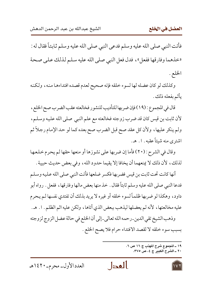فأتت النبي صلى الله عليه وسلم فدعي النبي صلى الله عليه وسلم ثابتاً فقال له : «خذهما وفارقها ففعل»، فدل فعل النبي صلى الله عليه سلم لذلك على صحة الخلع .

وكذلك لو كان عضله لها لسوء خلقه فإنه صحيح لعدم قصده افتداءها منه، ولكنه يأثم بفعله ذلك .

قال في المجموع : (١٩) فإن ضربها للتأديب للنشور فخالعته عقب الضرب صح الخلع ، لأن ثابت بن قيس كان قد ضرب زوجته فخالعته مع علم النبي صلى الله عليه وسلـم، ولم ينكر عليها، ولأن كل عقد صح قبل الضرب صح بعده كما لو حد الإمام رجلاً ثم اشتري منه شيئاً عقبه . ١. هـ.

وقال في الشرح : (٢٠) فأما إن ضربها على نشوزها أو منعها حقها لم يحرم خلعها لذلك، لأن ذلك لا يمنعهما أن يخافا إلا يقيما حدود الله، وفي بعض حديث حبيبة .

أنها كانت تحت ثابت بن قيس فضربها فكسر ضلعها فأتت النبي صلى الله عليه وسلم فدعا النبي صلى الله عليه وسلم ثابتاً فقال . خذ منها بعض مالها وفارقها ، ففعل . رواه أبو داود، وهكذا لو ضربها ظلماً لسوء خلقه أو غيره لا يريد بذلك أن تفتدي نفسها لـم يحرم عليه مخالعتها، لأنه لم يعضلها ليذهب ببعض الذي أتاها، ولكن عليه اثم الظلم. ١. هـ. وذهب الشيخ تقى الدين ـ رحمه الله تعالى ـ إلى أن الخلع في حالة عضل الزوج لزوجته بسبب سوء خلقه لا لقصد الافتداء حرام فلا يصح الخلع .

٢٠ ــ الشرح الكبير ج ٤، ص ٣٧٥.

العدا

١٩ ـ المجموع شرح المهذب ج ١٦ ص ٦.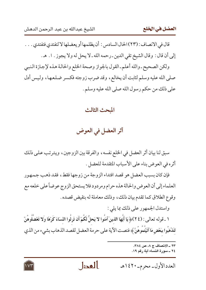قال في الانصاف : (٢٣) الحال السادس : أن يظلمها أو يعضلها لا لتفتدي فتفتدي . . . إلى أن قال : وقال الشيخ تقى الدين ـ رحمه الله ـ لا يحل له ولا يجوز . ١. هـ.

ولكن الصحيح ـ والله أعلم ـ القول بالجواز وصحة الخلع والحالة هذه لإجازة النبي صلى الله عليه وسلم لثابت أن يخالع، وقد ضرب زوجته فكسر ضلعها، وليس أدل على ذلك من حكم رسول الله صلى الله عليه وسلم .

#### المحث الثالث

أثر العضل في العوض

سبق لنا بيان أثر العضل في الخلع نفسه، والفرقة بين الزوجين، ويترتب على ذلك أثره في العوض بناء على الأسباب المتقدمة للعضل .

فإن كان بسبب العضل هو قصد افتداء الزوجة من زوجها فقط، فقد ذهب جمهور العلماء إلى أن العوض والحالة هذه حرام ومردود فلا يستحق الزوج عوضاً على خلعه مع وقوع الطلاق كما تقدم بيان ذلك، وذلك معاملة له بنقيض قصده .

واستدل الجمهور على ذلك بما يلي :

١ ـ قوله تعالى : (٢٤)﴿ يَا أَيُّهَا الَّذينَ آمَنُوا لا يَحلُّ لَكُمْ أَن تَرِثُوا النِّسَاءَ كَرْهًا وَلا تَعْضُلُوهُنَّ لتَذْهَبُوا ببَعْضِ مَا آتَيْتُمُوهُنَّ ﴾ فنصت الآية على حرمة العضل لقصد الذهاب بشيء من الذي

العدا

- ٢٣ \_ الانصاف ج ٨، ص ٣٨٤. ٢٤ ــ سورة النساء آية رقم ١٩.
- العدد الأول- محرم-١٤٢٠هـ

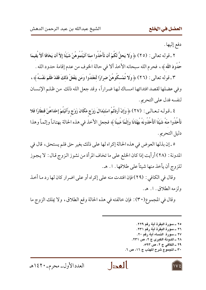دفع إليها .

٢ ـ قوله تعالى : (٢٥) ﴿ وَلا يَحلُّ لَكُمْ أَن تَأْخُذُوا ممَّا آتَيْتُمُوهُنَّ شَيْئًا إِلاَّ أَن يَخَافَا ألاَّ يُقيمَا حُدُودَ اللَّه ﴾ ، فحرم الله سبحانه الأخذ ألا في حالة الخوف من عدم إقامة حدود الله .

٣ ـ قوله تعالى : (٢٦) ﴿ وَلا تُمْسكُوهُنَّ ضرَارًا لَّتَعْتَدُوا وَمَن يَفْعَلْ ذَلكَ فَقَدْ ظَلَمَ نَفْسَهُ ﴾ ، وفي عضلها لقصد افتدائها امساك لها ضراراً، وقد جعل الله ذلك من ظلم الإنسان لنفسه فدل على التحريم .

٤ ـ قولـه تـعـالـي : (٢٧) ﴿ وَإِنْ أَرَدْتُمُ اسْتِبْدَالَ زَوْجٍ مَّكَانَ زَوْجٍ وَآتَيْتُمْ إِحْدَاهُنَّ قنطَارًا فَلا تَأْخُذُوا منْهُ شَيْئًا أتَأْخُذُونَهُ بُهْتَانًا وَإِثْمًا مُبينًا ﴾ فجعل الأخذ في هذه الحالة بهتانـاً وإثمـاً وهذا دليل التحريم .

٥ ـ إن بذلها العوض في هذه الحالة إكراه لها على ذلك بغير حق فلم يستحق، قال في المدونة : (٢٨) أرأيت إذا كان الخلع على ما تخاف المرأة من نشوز الزوج قال : لا يجوز للزوج أن يأخذ منها شيئاً على طلاقها . ١. هـ.

وقال في الكافي : (٢٩) فإن افتدت منه على إكراه أو على اضرار كان لها رد ما أخذ ولزمه الطلاق . ١ . هـ.

وقال في المجموع(٣٠) : فإن خالفته في هذه الحالة وقع الطلاق، ولا يملك الزوج ما

٢٥ ــ سورة البقرة آية رقم ٢٢٩. ٢٦ ــ سورة البقرة آية رقم ٢٣١. ٢٧ ــ سورة النساء آية رقم ٢٠. ٢٨ ــ المدونة الكبرى ج ٢، ص ٢٣١. ٢٩ \_ الكافي ج ٢، ص ٩٩٣. ٣٠ ـ المجموع شرح المهذب ج ١٦، ص ٦.

بالعدل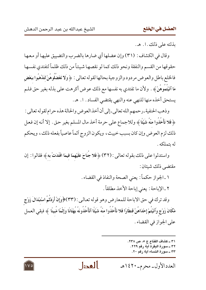بذلته على ذلك . ا. هـ.

وقال في الكشاف : (٣١) وإن عضلها أي ضارها بالضرب والتضييق عليها أو معها حقوقها من القسم والنفقة ونحو ذلك كما لو نقصها شيئاً من ذلك ظلماً لتفتدي نفسها فالخلع باطل والعوض مردود والزوجية بحالها لقوله تعالى : ﴿ وَلَا تَعْضُلُوهُنَّ لَتَذْهَبُوا بِبَعْضِ مَا آتَيْتموهُنَّ ﴾ . ولأن ما تفتدي به نفسها مع ذلك عوض أكرهت على بذله بغير حق فلـم يستحق أخذه منها للنهي عنه والنهي يقتضي الفساد . ١. هـ.

وذهب الحنفية ـ رحمهم الله تعالى ـ إلى أن أخذ العوض والحالة هذه حرام لقوله تعالى : ﴿ فَلا تَأْخُذُوا منْهُ شَيْئًا ﴾ وللاجماع على حرمة أخذ مال المسلم بغير حق . إلا أنه إن فعل ذلك لزم العوض وإن كان بسبب خبيث، ويكون الزوج أثماً عاصياً بفعله ذلك، ويحكم لە ىتملكە .

واستدلوا على ذلك بقوله تعالى : (٣٢) ﴿ فَلا جَنَاحَ عَلَيْهِمَا فِيمَا افْتَدَتْ بِهِ ﴾ فقالوا : إن مقتضى ذلك شئان :

> ١ ـ الجواز حكماً: يعني الصحة والنفاذ في القضاء . ٢ ـ الإباحة : يعني إباحة الأخذ مطلقاً .

وقد ترك في حق الاباحة للمعارض وهو قوله تعالىي : (٣٣)﴿وَإِنْ أَرَدْتُمُ اسْتِبْدَالَ زَوْجِ مَّكَانَ زَوْجٍ وَآتَيْتُمْ إِحْدَاهُنَّ قنطَارًا فَلا تَأْخُذُوا منْهُ شَيْئًا أتَأْخُذُونَهُ بُهْتَانًا وَإِثْمًا مُّبينًا ﴾ فبقى العمل على الجواز في القضاء .

بالعدل

- ٣١ ــ كشاف القناع ج ٥، ص ٢٣٨. ٣٢ ــ سورة البقرة آية رقم ٢٢٩. ٣٣ ــ سورة النساء آية رقم ٢٠ .
- العدد الأول- محرم- ١٤٢٠هـ

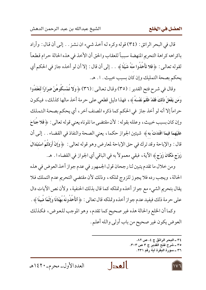قال في البحر الرائق : (٣٤) قوله وكره له أخذ شيء ان نشز . . إلى أن قال : وأراد باكراهه كراهة التحريم المنهضة سبباً للعقاب والحق أن الأخذ في هذه الحالة حرام قطعاً لقوله تعالىي : ﴿ فَلا تَأْخُذُوا منْهُ شَيْئًا ﴾ . . إلى أن قال : إلا أن لو أخذه جاز في الحكم أي يحكم بصحة التمليك وإن كان بسبب خبيث . ١. هـ.

وقال في شرح فتح القدير : (٣٥) وقال تعالىي : (٣٦) ﴿ وَلا تُمْسكُوهُنَّ ضرَارًا لَّتَعْتَدُوا وَمَن يَفْعَلْ ذَلكَ فَقَدْ ظَلَمَ نَفْسَهُ ﴾، فهذا دليل قطعي على حرمة أخذ مالها كذلك، فيكون حراماً إلا أنه لو أخذ جازٍ في الحكم كما ذكره المصنف آخرٍ ، أي يحكم بصحة التملك وإن كان بسبب خبيث، وعلله بقوله : لأن مقتضى ما تلوناه يعني قوله تعالى : ﴿ فَلا جَنَاحَ عَلَيْهِمَا فيمَا افْتَدَتْ به ﴾ شيئين الجواز حكما ، يعني الصحة والنفاذ في القضاء . . إلى أن قال : والإباحة وقد ترك في حق الإباحة لمعارض وهو قوله تعالى : ﴿ وَإِنْ أَرَدْتُمُ اسْتِبْدَالَ زَوْجِ مَّكَانَ زَوْجٍ ﴾ الآية ، فبقي معمولاً به في الباقي أي الجواز في القضاء ا . هـ .

ومن خلال ما تقدم يتبين لنا رجحان قول الجمهور في عدم جواز أخذ العوض في هذه الحالة، ويجب رده فلا يجوز للزوج تملكه، وذلك لأن مقتضى التحريم عدم التملك فلا يقال بتحريم الشيء مع جواز أخذه وتملكه كما قال بذلك الحنفية ، ولأن نص الأيات دال على حرمة ذلك فيفيد عدم جواز أخذه وتملكه قال تعالى : ﴿ أَتَأْخُذُونَهُ بُهْتَانًا وَإِثْمًا مُّبِينًا ﴾ .

وكما أن الخلع والحالة هذه غير صحيح كما تقدم، وهو الموجب للعوض، فكذلك العوض يكون غير صحيح من باب أولى والله أعلم .

> ٣٤ ــ البحر الرائق ج ٤، ص ٨٢. ٣٥ ــ شرح فتح القدير ج ٣ ص ٣٠٣. ٣٦ ــ سورة البقرة آية رقم ٢٣١.

العدا

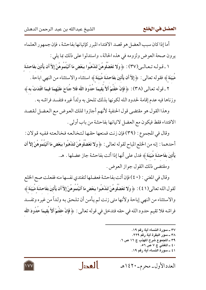أما إذا كان سبب العضل هو قصد الافتداء المبرر كإتيانها بفاحشة ، فإن جمهور العلماء يرون صحة العوض ولزومه في هذه الحالة، واستدلوا على ذلك بما يلي :

١ ـ قـولـه تـعـالــى(٣٧) : ﴿ وَلا تَعْضُلُوهُنَّ لتَذْهَبُوا ببَعْض مَا آتَيْتُمُوهُنَّ إِلاَّ أَن يَأْتينَ بفَاحشَة مَّبَيِّنَةٍ ﴾ فقوله تعالى : ﴿ إِلاَّ أَن يَأْتِينَ بِفَاحِشَةٍ مُبَيِّنَةٍ ﴾ استثناء والاستثناء من النهي اباحة .

٢ ـ قوله تعـالـى (٣٨) : ﴿ فَإِنْ خفْتُمْ أَلاَّ يُقِيمَا حُدُودَ اللَّه فَلا جُنَاحَ عَلَيْهِمَا فيمَا افْتَدَتْ به ﴾ وزناها فيه عدم إقامة لحدود الله لكونها بذلك تلحق به ولداً غيره فتفسد فراشه به .

وهذا القول هو مقتضى قول الحنفية لأنهم أجازوا تملك العوض مع العضل لقصد الافتداء فقط فيكون مع العضل لاتيانها بفاحشة من باب أولى .

وقال في المجموع : (٣٩) فإن زنت فمنعها حقها لتخالعه فخالعته ففيه قولان : أحدهما : إنه من الخلع المباح لقوله تعالى : ﴿ وَلا تَعْضُلُوهُنَّ لتَذْهَبُوا ببَعْضِ مَا آتَيْتُمُوهُنَّ إِلاَّ أَن يَأْتِينَ بِفَاحِشَةٍ مَّبَيِّنَةٍ ﴾ فدل على أنها إذا أتت بفاحشة جاز عضلها . هـ .

ومقتضى ذلك القول جواز العوض.

وقال في المغنى : (٤٠) فإن أتت بفاحشة فعضلها لتفتدي نفسها منه ففعلت صح الخلع لقول الله تعالى(٤١) : ﴿ وَلا تَعْضُلُوهُنَّ لتَذْهَبُوا ببَعْضِ مَا آتَيْتُمُوهُنَّ إِلاَّ أَن يَأْتينَ بفَاحشَة مَّبَيّنَة ﴾ والاستثناء من النهي إباحة ولأنها متى زنت لم يأمن أن تلحق به ولداً من غيره وتفسد فراشه فلا تقيم حدود الله في حقه فتدخل في قوله تعالى : ﴿ فَإِنْ خفْتُمْ أَلاَّ يَقِيمَا حُدُودَ اللَّه

> ٣٧ ــ سورة النساء آية رقم ١٩. ٣٨ ــ سور البقرة آية رقم ٢٢٩. ٣٩ ــ المجموع شرح المهذب ج ١٦ ص ٦. ٤٠ ـ المغنى ج ٧ ص ٥٦. ٤١ ــ سورة النساء آية رقم ١٩.

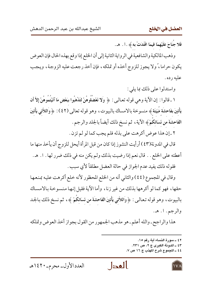فَلا جَنَاحَ عَلَيْهِمَا فِيمَا افْتَدَتْ بِهِ ﴾ . ا . هـ .

وذهب المالكية والشافعية في الرواية الثانية إلى أن الخلع إذا وقع بهذه الحال فإن العوض يكون حراما، ً ولا يجوز للزوج أخذه أو تملكه، فإن أخذ رجعت عليه الزوجة، ويجب عليه رده .

واستدلوا على ذلك بما يلي :

١ ـ قالوا : إن الآية وهي قوله تعالىي : ﴿ وَلَا تَعْضُلُوهُنَّ لتَذْهَبُوا ببَعْض مَا آتَيْتُمُوهُنَّ إِلاَّ أَن يَأْتينَ بفَاحشَة مَّبَيّنَة ﴾ منسوخة بالامساك بالبيوت، وهو قوله تعالى (٤٢) : ﴿ وَاللَّاتِي يَأْتينَ الفَاحشَةَ من نّسَائكُمْ﴾ الآية ، ثم نسخ ذلك أيضاً بالجلد والرجم .

٢ ـ إن هذا عوض أكرهت على بذله فلم يجب كما لو لم تزن .

قال في المدونة(٤٣) أرأيت النشوز إذا كان من قبل المرأة أيحل للزوج أن يأخذ منها ما أعطته على الخلع . . قال نعم إذا رضيت بذلك ولم يكن منه في ذلك ضرر لها . ١. هـ. فقوله ذلك يفيد عدم الجواز في حالة العضل مطلقاً لأي سبب .

وقال في المجموع (٤٤) والثاني أنه من الخلع المحظور لأنه خلع أكرهت عليه بمنعها حقها، فهو كما لو أكرهها بذلك من غير زنا، وأما الآية فقيل إنها منسوخة بالامساك بالبيوت، وهو قوله تعالىي : ﴿ وَاللاَّتِي يَأْتِينَ الفَاحِشَةَ من نِّسَائِكُمْ ﴾، ثم نسخ ذلك بـالجـد والرجم. ا. هـ.

هذا والراجح ـ والله أعلم ـ هو مذهب الجمهور من القول بجواز أخذ العوض وتملكه

٤٢ ــ سورة النساء آية رقم ١٥. ٤٣ ــ المدونة الكبرى ج ٢، ص ٢٣١. ٤٤ ـ المجموع شرح المهذب ج ١٦ ص ٧.



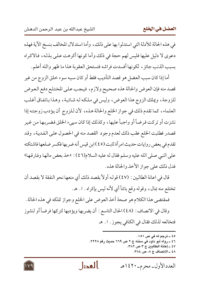في هذه الحالة للأدلة التي استدلوا بها على ذلك، وأما استدلال المخالف بنسخ الآية فهذه دعوى لا دليل عليها فليس لهم حجة في ذلك وأما كونها أكرهت على بذله، فالاكراه بسبب الذنب جائز ، لكونها أفسدت فراشه فتستحق العقوبة هذا ما ظهر والله أعلم .

أما إذا كان سبب العضل هو قصد التأديب فقط أو كان سببه سوء خلق الزوج من غير قصد منه فإن العوض والحالة هذه صحيح ولازم، فيجب علىي المختلع دفع العوض للزوجة، ويملك الزوج هذا العوض، وليس في ملكه له شائبة، وهذا باتفاق أغلب العلماء، كما تقدم ذلك في جواز الخلع والحالة هذه، لأن للزوج أن يؤدب زوجته إذا نشزت أو تركت فرضاً أو واجباً عليها ، وكذلك إذا كان سييء الخلق فضربها من غير قصدر فطلبت الخلع عقب ذلك لعدم وجود القصد منه في الحصول على الفدية، وقد تقدم في بعض روايات حديث امرأة ثابت (٤٥) ابن قيس أنه ضربها فكسر ضلعها فاشتكته على النبي صلى الله عليه وسلم فقال له عليه السلام(٤٦) : «خذ بعض مالها وفارقها» فدل ذلك على جواز الأخذ والحالة هذه .

قال في اعانة الطالبين : (٤٧) قوله أولاً بقصد ذلك أي منعها نحو النفقة لا بقصد أن تختلع منه بمال، وقوله وقع بائناً أي لأنه ليس بإكراه. ا. هـ.

فمقتضى هذا الكلام هو صحة أخذ العوض على الخلع وجواز تملكه في هذه الحالة . وقال في الانصاف : (٤٨) الحال التاسع : أن يضربها ويؤدبها لتركها فرضاً أو لنشوز فتخالعه لذلك فقال في الكافي يجوز . ١. هـ

> ٤٥ ـ ترجم له في ص ١٥١. ٤٦ ـ رواه أبو داود في سننه ج ٢ ص ٦٦٩ حديث رقم ٢٢٢٨. ٤٧ ــ إعانة الطالبين ج ٣ ص ٣٨٢. ٤٨ ـ الانصاف ج ٨، ص ٣٨٤.